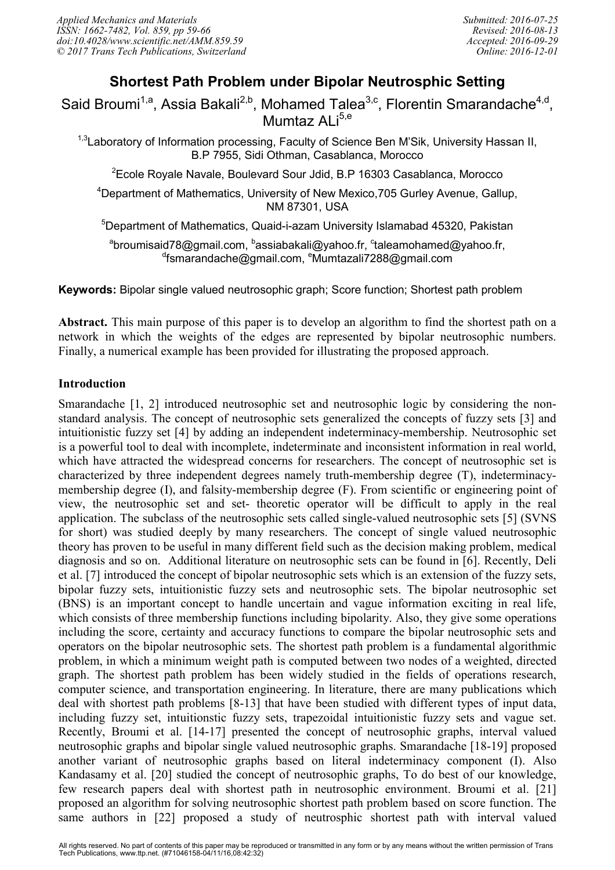# **Shortest Path Problem under Bipolar Neutrosphic Setting**

Said Broumi<sup>1,a</sup>, Assia Bakali<sup>2,b</sup>, Mohamed Talea<sup>3,c</sup>, Florentin Smarandache<sup>4,d</sup>, Mumtaz ALi<sup>5,e</sup>

<sup>1,3</sup>Laboratory of Information processing, Faculty of Science Ben M'Sik, University Hassan II, B.P 7955, Sidi Othman, Casablanca, Morocco

 $2$ Ecole Royale Navale, Boulevard Sour Jdid, B.P 16303 Casablanca, Morocco

<sup>4</sup>Department of Mathematics, University of New Mexico,705 Gurley Avenue, Gallup, NM 87301, USA

<sup>5</sup>Department of Mathematics, Quaid-i-azam University Islamabad 45320, Pakistan

<sup>a</sup>broumisaid78@gmail.com, <sup>b</sup>assiabakali@yahoo.fr, <sup>c</sup>taleamohamed@yahoo.fr, <sup>d</sup>fsmarandache@gmail.com, <sup>e</sup>Mumtazali7288@gmail.com

**Keywords:** Bipolar single valued neutrosophic graph; Score function; Shortest path problem

**Abstract.** This main purpose of this paper is to develop an algorithm to find the shortest path on a network in which the weights of the edges are represented by bipolar neutrosophic numbers. Finally, a numerical example has been provided for illustrating the proposed approach.

### **Introduction**

Smarandache [1, 2] introduced neutrosophic set and neutrosophic logic by considering the nonstandard analysis. The concept of neutrosophic sets generalized the concepts of fuzzy sets [3] and intuitionistic fuzzy set [4] by adding an independent indeterminacy-membership. Neutrosophic set is a powerful tool to deal with incomplete, indeterminate and inconsistent information in real world, which have attracted the widespread concerns for researchers. The concept of neutrosophic set is characterized by three independent degrees namely truth-membership degree (T), indeterminacymembership degree (I), and falsity-membership degree (F). From scientific or engineering point of view, the neutrosophic set and set- theoretic operator will be difficult to apply in the real application. The subclass of the neutrosophic sets called single-valued neutrosophic sets [5] (SVNS for short) was studied deeply by many researchers. The concept of single valued neutrosophic theory has proven to be useful in many different field such as the decision making problem, medical diagnosis and so on. Additional literature on neutrosophic sets can be found in [6]. Recently, Deli et al. [7] introduced the concept of bipolar neutrosophic sets which is an extension of the fuzzy sets, bipolar fuzzy sets, intuitionistic fuzzy sets and neutrosophic sets. The bipolar neutrosophic set (BNS) is an important concept to handle uncertain and vague information exciting in real life, which consists of three membership functions including bipolarity. Also, they give some operations including the score, certainty and accuracy functions to compare the bipolar neutrosophic sets and operators on the bipolar neutrosophic sets. The shortest path problem is a fundamental algorithmic problem, in which a minimum weight path is computed between two nodes of a weighted, directed graph. The shortest path problem has been widely studied in the fields of operations research, computer science, and transportation engineering. In literature, there are many publications which deal with shortest path problems [8-13] that have been studied with different types of input data, including fuzzy set, intuitionstic fuzzy sets, trapezoidal intuitionistic fuzzy sets and vague set. Recently, Broumi et al. [14-17] presented the concept of neutrosophic graphs, interval valued neutrosophic graphs and bipolar single valued neutrosophic graphs. Smarandache [18-19] proposed another variant of neutrosophic graphs based on literal indeterminacy component (I). Also Kandasamy et al. [20] studied the concept of neutrosophic graphs, To do best of our knowledge, few research papers deal with shortest path in neutrosophic environment. Broumi et al. [21] proposed an algorithm for solving neutrosophic shortest path problem based on score function. The same authors in [22] proposed a study of neutrosphic shortest path with interval valued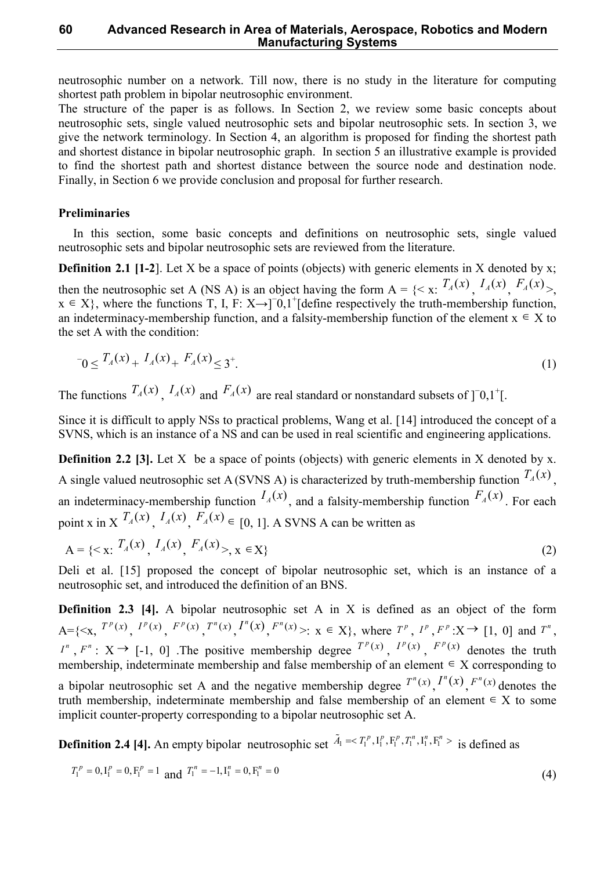#### **60 Advanced Research in Area of Materials, Aerospace, Robotics and Modern Manufacturing Systems**

neutrosophic number on a network. Till now, there is no study in the literature for computing shortest path problem in bipolar neutrosophic environment.

The structure of the paper is as follows. In Section 2, we review some basic concepts about neutrosophic sets, single valued neutrosophic sets and bipolar neutrosophic sets. In section 3, we give the network terminology. In Section 4, an algorithm is proposed for finding the shortest path and shortest distance in bipolar neutrosophic graph. In section 5 an illustrative example is provided to find the shortest path and shortest distance between the source node and destination node. Finally, in Section 6 we provide conclusion and proposal for further research.

#### **Preliminaries**

In this section, some basic concepts and definitions on neutrosophic sets, single valued neutrosophic sets and bipolar neutrosophic sets are reviewed from the literature.

**Definition 2.1 [1-2]**. Let X be a space of points (objects) with generic elements in X denoted by x; then the neutrosophic set A (NS A) is an object having the form  $A = \{ \langle x, T_A(x), I_A(x), F_A(x), \rangle \}$  $x \in X$ , where the functions T, I, F: X→]<sup>-0</sup>,1<sup>+</sup>[define respectively the truth-membership function, an indeterminacy-membership function, and a falsity-membership function of the element  $x \in X$  to the set A with the condition:

$$
T_0 \le T_A(x) + I_A(x) + F_A(x) \le 3^+.\tag{1}
$$

The functions  $T_A(x)$ ,  $I_A(x)$  and  $F_A(x)$  are real standard or nonstandard subsets of  $]$ <sup>-0</sup>,1<sup>+</sup>[.

Since it is difficult to apply NSs to practical problems, Wang et al. [14] introduced the concept of a SVNS, which is an instance of a NS and can be used in real scientific and engineering applications.

**Definition 2.2 [3].** Let X be a space of points (objects) with generic elements in X denoted by x. A single valued neutrosophic set A (SVNS A) is characterized by truth-membership function  $T_A(x)$ , an indeterminacy-membership function  $I_A(x)$ , and a falsity-membership function  $F_A(x)$ . For each point x in X  $T_A(x)$ ,  $I_A(x)$ ,  $F_A(x) \in [0, 1]$ . A SVNS A can be written as

$$
A = \{ \langle x, T_A(x), I_A(x), F_A(x) \rangle, x \in X \}
$$
 (2)

Deli et al. [15] proposed the concept of bipolar neutrosophic set, which is an instance of a neutrosophic set, and introduced the definition of an BNS.

**Definition 2.3 [4].** A bipolar neutrosophic set A in X is defined as an object of the form  $A = \{ \langle x, T^p(x), I^p(x), F^p(x), T^n(x), I^n(x), F^n(x) \rangle : x \in X \},$  where  $T^p, I^p, F^p: X \to [1, 0]$  and  $T^n$ ,  $I^{n}$ ,  $F^{n}$ :  $X \rightarrow$  [-1, 0] .The positive membership degree  $T^{p}(x)$ ,  $I^{p}(x)$ ,  $F^{p}(x)$  denotes the truth membership, indeterminate membership and false membership of an element  $\in X$  corresponding to a bipolar neutrosophic set A and the negative membership degree  $T^n(x)$ ,  $T^n(x)$ ,  $F^n(x)$  denotes the truth membership, indeterminate membership and false membership of an element  $\in X$  to some implicit counter-property corresponding to a bipolar neutrosophic set A.

**Definition 2.4 [4].** An empty bipolar neutrosophic set  $\tilde{A}_1 = \langle T_1^p, I_1^p, F_1^p, T_1^n, I_1^n, F_1^n \rangle$  is defined as

$$
T_1^p = 0, I_1^p = 0, F_1^p = 1 \text{ and } T_1^n = -1, I_1^n = 0, F_1^n = 0
$$
\n
$$
(4)
$$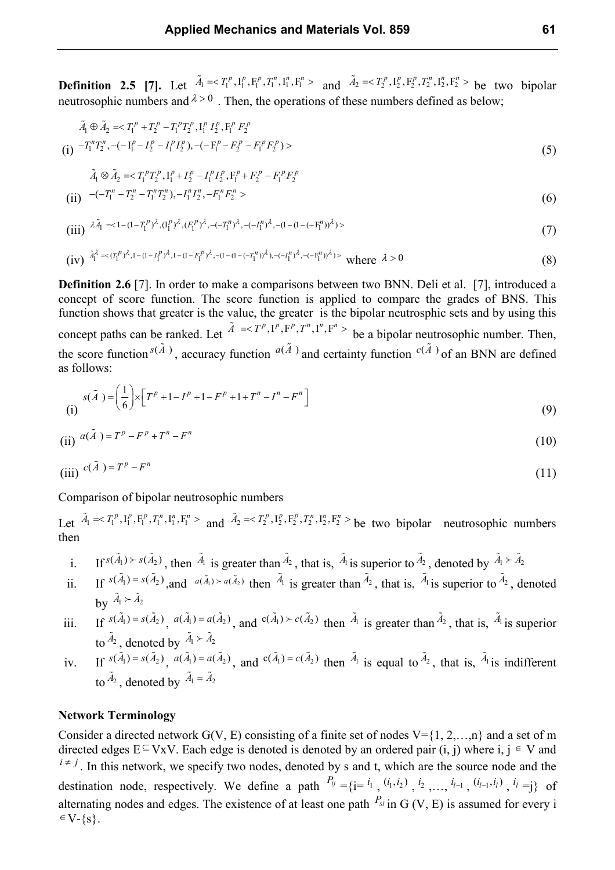**Definition 2.5** [7]. Let  $\tilde{A}_1 = \langle T_1^p, I_1^p, F_1^p, T_1^n, I_1^n, F_1^n \rangle$  and  $\tilde{A}_2 = \langle T_2^p, I_2^p, F_2^p, T_2^n, I_2^n, F_2^n \rangle$  be two bipolar neutrosophic numbers and  $\lambda > 0$ . Then, the operations of these numbers defined as below;

$$
\tilde{A}_1 \oplus \tilde{A}_2 = \langle T_1^p + T_2^p - T_1^p T_2^p, I_1^p I_2^p, F_1^p F_2^p
$$
\n
$$
(i) \quad -T_1^n T_2^n, \quad (-I_1^p - I_2^p - I_1^p I_2^p), \quad (-F_1^p - F_2^p - F_1^p F_2^p) \tag{5}
$$

$$
\tilde{A}_1 \otimes \tilde{A}_2 = \langle T_1^p T_2^p, I_1^p + I_2^p - I_1^p I_2^p, F_1^p + F_2^p - F_1^p F_2^p
$$
\n(ii) 
$$
-(-T_1^n - T_2^n - T_1^n T_2^n), -I_1^n I_2^n, -F_1^n F_2^n > \tag{6}
$$

(iii) 
$$
\lambda \tilde{A}_1 \leq 1 - (1 - T_1^p)^{\lambda}, (I_1^p)^{\lambda}, (F_1^p)^{\lambda}, -(-T_1^p)^{\lambda}, -(-I_1^p)^{\lambda}, -(1 - (1 - (-F_1^p))^{\lambda}) \tag{7}
$$

(iv) 
$$
\tilde{A}_1^{\lambda} \ll (T_1^p)^{\lambda}, 1 - (1 - I_1^p)^{\lambda}, 1 - (1 - F_1^p)^{\lambda}, -(1 - (1 - (-T_1^n))^{\lambda}), -(-T_1^p)^{\lambda}, -(-F_1^p))^{\lambda}) > \text{where } \lambda > 0
$$
 (8)

**Definition 2.6** [7]. In order to make a comparisons between two BNN. Deli et al. [7], introduced a concept of score function. The score function is applied to compare the grades of BNS. This function shows that greater is the value, the greater is the bipolar neutrosphic sets and by using this concept paths can be ranked. Let  $\tilde{A} = \langle T^p, I^p, F^p, T^n, I^n, F^n \rangle$  be a bipolar neutrosophic number. Then, the score function  $s(\tilde{A})$ , accuracy function  $a(\tilde{A})$  and certainty function  $c(\tilde{A})$  of an BNN are defined as follows:

(i) 
$$
s(\tilde{A}) = \left(\frac{1}{6}\right) \times \left[T^{p} + 1 - I^{p} + 1 - F^{p} + 1 + T^{n} - I^{n} - F^{n}\right]
$$
 (9)

$$
(ii) \quad a(\tilde{A}) = T^p - F^p + T^n - F^n \tag{10}
$$

$$
(iii) \, c(\tilde{A}) = T^p - F^n \tag{11}
$$

Comparison of bipolar neutrosophic numbers

Let  $\tilde{A}_1 = \langle T_1^p, I_1^p, F_1^p, T_1^n, I_1^n, F_1^n \rangle$  and  $\tilde{A}_2 = \langle T_2^p, I_2^p, F_2^p, T_2^n, I_2^n, F_2^n \rangle$  be two bipolar neutrosophic numbers then

- i. If  $s(\tilde{A}_1) \succ s(\tilde{A}_2)$ , then  $\tilde{A}_1$  is greater than  $\tilde{A}_2$ , that is,  $\tilde{A}_1$  is superior to  $\tilde{A}_2$ , denoted by  $\tilde{A}_1 \succ \tilde{A}_2$
- ii. If  $s(\tilde{A}_1) = s(\tilde{A}_2)$ , and  $a(\tilde{A}_1) > a(\tilde{A}_2)$  then  $\tilde{A}_1$  is greater than  $\tilde{A}_2$ , that is,  $\tilde{A}_1$  is superior to  $\tilde{A}_2$ , denoted by  $\tilde{A}_1 \succ \tilde{A}_2$

iii. If 
$$
s(\tilde{A}_1) = s(\tilde{A}_2)
$$
,  $a(\tilde{A}_1) = a(\tilde{A}_2)$ , and  $c(\tilde{A}_1) \succ c(\tilde{A}_2)$  then  $\tilde{A}_1$  is greater than  $\tilde{A}_2$ , that is,  $\tilde{A}_1$  is superior to  $\tilde{A}_2$ , denoted by  $\tilde{A}_1 \succ \tilde{A}_2$ 

iv. If  $s(\tilde{A}_1) = s(\tilde{A}_2)$ ,  $a(\tilde{A}_1) = a(\tilde{A}_2)$ , and  $c(\tilde{A}_1) = c(\tilde{A}_2)$  then  $\tilde{A}_1$  is equal to  $\tilde{A}_2$ , that is,  $\tilde{A}_1$ is indifferent to  $\tilde{A}_2$ , denoted by  $\tilde{A}_1 = \tilde{A}_2$ 

#### **Network Terminology**

Consider a directed network  $G(V, E)$  consisting of a finite set of nodes  $V = \{1, 2, \ldots, n\}$  and a set of m directed edges E ⊆ VxV. Each edge is denoted is denoted by an ordered pair  $(i, j)$  where  $i, j \in V$  and  $i \neq j$ . In this network, we specify two nodes, denoted by s and t, which are the source node and the destination node, respectively. We define a path  $P_{ij} = \{i = 1, 0, 1, 2, \ldots, i_{l-1}, 0, i_{l-1}, i_l\}$ ,  $i_l = j\}$  of alternating nodes and edges. The existence of at least one path  $P_{si}$  in G (V, E) is assumed for every i  $\in V - \{s\}.$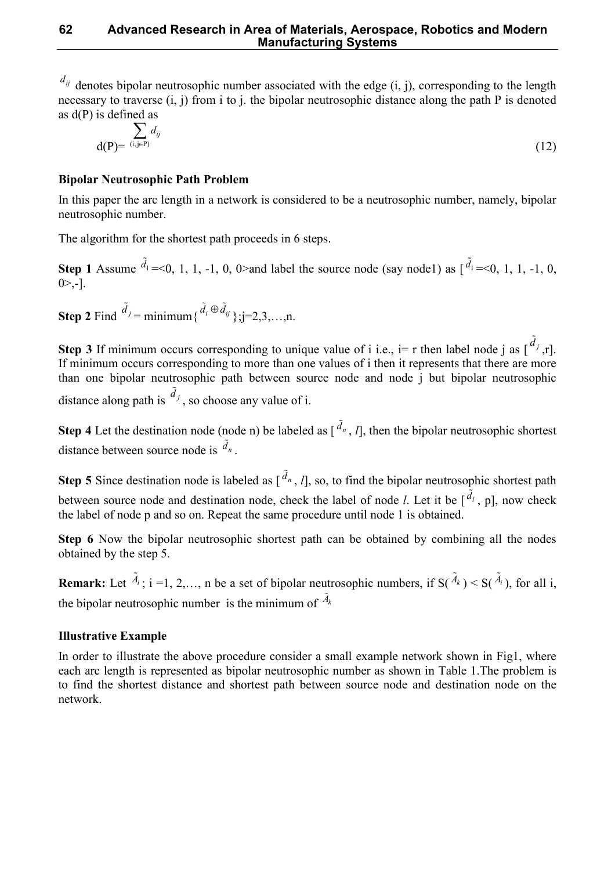$d_{ij}$  denotes bipolar neutrosophic number associated with the edge  $(i, j)$ , corresponding to the length necessary to traverse (i, j) from i to j, the bipolar neutrosophic distance along the path P is denoted as d(P) is defined as

$$
\sum_{\mathbf{d}(\mathbf{P}) = (i,j \in \mathbf{P})} d_{ij} \tag{12}
$$

# **Bipolar Neutrosophic Path Problem**

In this paper the arc length in a network is considered to be a neutrosophic number, namely, bipolar neutrosophic number.

The algorithm for the shortest path proceeds in 6 steps.

**Step 1** Assume  $\tilde{d}_1$  $=\leq 0, 1, 1, -1, 0, 0 \geq$  and label the source node (say node1) as  $\begin{bmatrix} d_1 \\ d_2 \end{bmatrix}$  $=<0, 1, 1, -1, 0,$  $0$  $>$ ,-].

**Step 2** Find  $\tilde{d}_j$  = minimum $\{\tilde{d}_i \oplus \tilde{d}_{ij}\}$ ; j=2,3,...,n.

**Step 3** If minimum occurs corresponding to unique value of i i.e., i= r then label node j as  $\begin{bmatrix} \tilde{d}_j \end{bmatrix}$ ,r]. If minimum occurs corresponding to more than one values of i then it represents that there are more than one bipolar neutrosophic path between source node and node j but bipolar neutrosophic distance along path is  $\tilde{d}_j$ , so choose any value of i.

**Step 4** Let the destination node (node n) be labeled as  $\left[\right]^{\tilde{d}_n}$ , *l*], then the bipolar neutrosophic shortest distance between source node is  $\tilde{d}_n$ .

**Step 5** Since destination node is labeled as  $\left[\right]^{\tilde{d}_n}$ , *l*], so, to find the bipolar neutrosophic shortest path between source node and destination node, check the label of node *l*. Let it be  $\left[ \tilde{d}_l \right]$ , p], now check the label of node p and so on. Repeat the same procedure until node 1 is obtained.

**Step 6** Now the bipolar neutrosophic shortest path can be obtained by combining all the nodes obtained by the step 5.

**Remark:** Let  $\tilde{A}_i$ ; i =1, 2,..., n be a set of bipolar neutrosophic numbers, if  $S(\tilde{A}_k) < S(\tilde{A}_i)$ ), for all i, the bipolar neutrosophic number is the minimum of  $\tilde{A}_k$ 

# **Illustrative Example**

In order to illustrate the above procedure consider a small example network shown in Fig1, where each arc length is represented as bipolar neutrosophic number as shown in Table 1.The problem is to find the shortest distance and shortest path between source node and destination node on the network.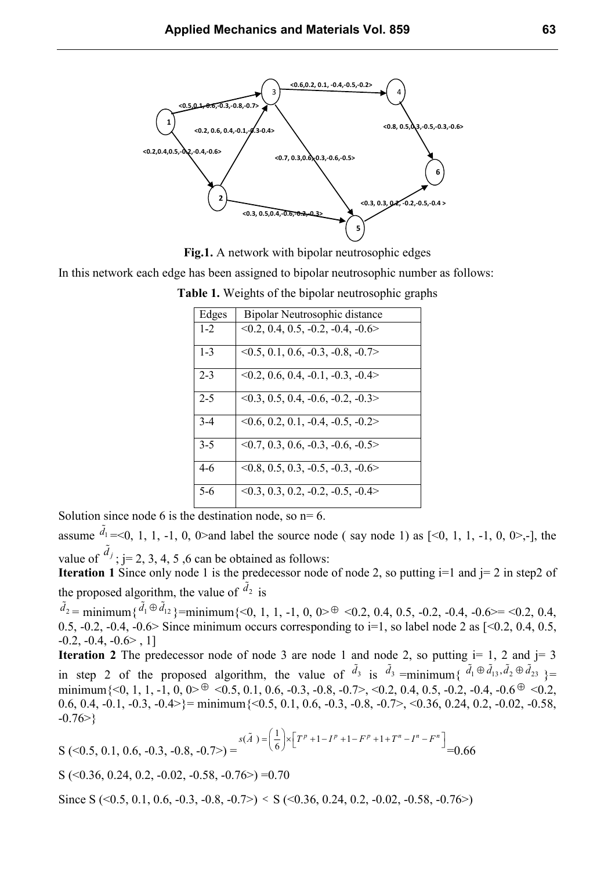

**Fig.1.** A network with bipolar neutrosophic edges

In this network each edge has been assigned to bipolar neutrosophic number as follows:

| Edges   | Bipolar Neutrosophic distance            |  |
|---------|------------------------------------------|--|
| $1 - 2$ | $0.2, 0.4, 0.5, -0.2, -0.4, -0.6$        |  |
| $1 - 3$ | $\leq 0.5, 0.1, 0.6, -0.3, -0.8, -0.7$   |  |
| $2 - 3$ | $0.2, 0.6, 0.4, -0.1, -0.3, -0.4$        |  |
| $2 - 5$ | $\leq 0.3$ , 0.5, 0.4, -0.6, -0.2, -0.3> |  |
| $3-4$   | $\leq 0.6, 0.2, 0.1, -0.4, -0.5, -0.2$   |  |
| $3 - 5$ | $\leq 0.7, 0.3, 0.6, -0.3, -0.6, -0.5$   |  |
| $4-6$   | $\leq 0.8, 0.5, 0.3, -0.5, -0.3, -0.6$   |  |
| $5-6$   | $\leq 0.3$ , 0.3, 0.2, -0.2, -0.5, -0.4> |  |

**Table 1.** Weights of the bipolar neutrosophic graphs

Solution since node 6 is the destination node, so  $n=6$ .

assume  $\tilde{d}_1$  $=$  <0, 1, 1, -1, 0, 0 > and label the source node (say node 1) as  $[$  <0, 1, 1, -1, 0, 0 > - $]$ , the value of  $\tilde{d}_j$  $; j= 2, 3, 4, 5, 6$  can be obtained as follows:

**Iteration 1** Since only node 1 is the predecessor node of node 2, so putting  $i=1$  and  $j=2$  in step2 of the proposed algorithm, the value of  $\tilde{d}_2$ is

 $\tilde{d}_2$  = minimum $\{\tilde{d}_1 \oplus \tilde{d}_{12}\}$ =minimum $\{<0, 1, 1, -1, 0, 0> \oplus <0.2, 0.4, 0.5, -0.2, -0.4, -0.6> = <0.2, 0.4,$ 0.5, -0.2, -0.4, -0.6> Since minimum occurs corresponding to i=1, so label node 2 as  $[<0.2, 0.4, 0.5,$  $-0.2, -0.4, -0.6$ >, 1]

**Iteration 2** The predecessor node of node 3 are node 1 and node 2, so putting  $i= 1, 2$  and  $j= 3$ in step 2 of the proposed algorithm, the value of  $\tilde{d}_3$ is  $\tilde{d}_3$  =minimum{  $\tilde{d}_1 \oplus \tilde{d}_{13}, \tilde{d}_2 \oplus \tilde{d}_{23}$  }= minimum $\{<0, 1, 1, -1, 0, 0> \oplus <0.5, 0.1, 0.6, -0.3, -0.8, -0.7> , <0.2, 0.4, 0.5, -0.2, -0.4, -0.6 \oplus <0.2,$ 0.6, 0.4, -0.1, -0.3, -0.4>}= minimum  $\{0.5, 0.1, 0.6, -0.3, -0.8, -0.7\}$ ,  $\{0.36, 0.24, 0.2, -0.02, -0.58,$  $-0.76>\}$ 

$$
S\left(\leq 0.5, 0.1, 0.6, -0.3, -0.8, -0.7\right) = \frac{s(\tilde{A}) - \left(\frac{1}{6}\right) \times \left[T^p + 1 - I^p + 1 - F^p + 1 + T^n - I^n - F^n\right]}{1} = 0.66
$$

S ( $\leq 0.36$ , 0.24, 0.2, -0.02, -0.58, -0.76 $\geq$ ) =0.70

Since S (<0.5, 0.1, 0.6, -0.3, -0.8, -0.7>) < S (<0.36, 0.24, 0.2, -0.02, -0.58, -0.76>)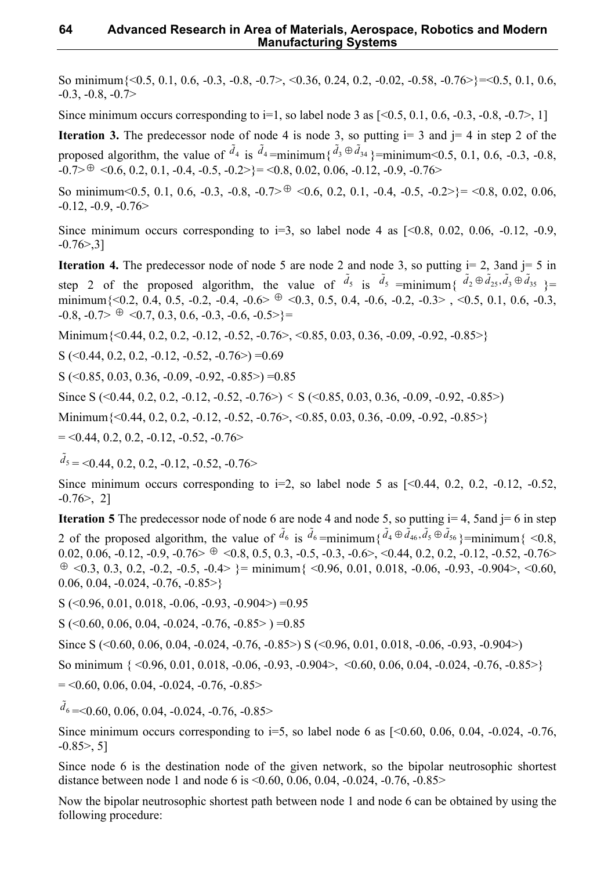So minimum{<0.5, 0.1, 0.6, -0.3, -0.8, -0.7>, <0.36, 0.24, 0.2, -0.02, -0.58, -0.76>}=<0.5, 0.1, 0.6,  $-0.3, -0.8, -0.7$ 

Since minimum occurs corresponding to  $i=1$ , so label node 3 as  $[< 0.5, 0.1, 0.6, -0.3, -0.8, -0.7 >, 1]$ 

**Iteration 3.** The predecessor node of node 4 is node 3, so putting  $i=3$  and  $i=4$  in step 2 of the proposed algorithm, the value of  $\tilde{d}_4$ is  $\tilde{d}_4$ =minimum{ $\tilde{d}_3 \oplus \tilde{d}_{34}$ }=minimum<0.5, 0.1, 0.6, -0.3, -0.8,  $-0.7> \theta$  < 0.6, 0.2, 0.1,  $-0.4$ ,  $-0.5$ ,  $-0.2>$ } = < 0.8, 0.02, 0.06,  $-0.12$ ,  $-0.9$ ,  $-0.76>$ 

So minimum<0.5, 0.1, 0.6, -0.3, -0.8, -0.7> $\oplus$  <0.6, 0.2, 0.1, -0.4, -0.5, -0.2>}= <0.8, 0.02, 0.06,  $-0.12, -0.9, -0.76$ 

Since minimum occurs corresponding to  $i=3$ , so label node 4 as  $\lceil 0.8 \rceil$ , 0.02, 0.06, -0.12, -0.9,  $-0.76 > 3$ ]

**Iteration 4.** The predecessor node of node 5 are node 2 and node 3, so putting  $i= 2$ , 3and  $i= 5$  in step 2 of the proposed algorithm, the value of  $\tilde{d}_5$ is  $\tilde{d}_5$  =minimum{  $\tilde{d}_2 \oplus \tilde{d}_{25}, \tilde{d}_3 \oplus \tilde{d}_{35}$  }= minimum $\{<0.2, 0.4, 0.5, -0.2, -0.4, -0.6> \oplus <0.3, 0.5, 0.4, -0.6, -0.2, -0.3> \}, <0.5, 0.1, 0.6, -0.3,$  $-0.8, -0.7> \oplus \langle 0.7, 0.3, 0.6, -0.3, -0.6, -0.5 \rangle$  =

Minimum  $\{<0.44, 0.2, 0.2, -0.12, -0.52, -0.76\} < 0.85, 0.03, 0.36, -0.09, -0.92, -0.85\}$ 

S  $( $0.44, 0.2, 0.2, -0.12, -0.52, -0.76$ ) = 0.69$ 

S ( $\leq 0.85, 0.03, 0.36, -0.09, -0.92, -0.85$ ) = 0.85

Since S (<0.44, 0.2, 0.2, -0.12, -0.52, -0.76>) < S (<0.85, 0.03, 0.36, -0.09, -0.92, -0.85>)

Minimum  $\{<0.44, 0.2, 0.2, -0.12, -0.52, -0.76\}$ ,  $<0.85, 0.03, 0.36, -0.09, -0.92, -0.85\}$ 

 $=$  <0.44, 0.2, 0.2, -0.12, -0.52, -0.76 >

 $\tilde{d}_5$  $=$  <0.44, 0.2, 0.2, -0.12, -0.52, -0.76 >

Since minimum occurs corresponding to  $i=2$ , so label node 5 as  $\lceil 50.44, 0.2, 0.2, -0.12, -0.52, \rceil$  $-0.76$ , 2]

**Iteration 5** The predecessor node of node 6 are node 4 and node 5, so putting  $i = 4$ , 5 and  $j = 6$  in step 2 of the proposed algorithm, the value of  $\tilde{d}_6$ is  $\tilde{d}_6$  =minimum { $\tilde{d}_4 \oplus \tilde{d}_{46}, \tilde{d}_5 \oplus \tilde{d}_{56}$ }=minimum { <0.8, 0.02, 0.06, -0.12, -0.9, -0.76 $> \oplus \langle 0.8, 0.5, 0.3, -0.5, -0.3, -0.6 \rangle \langle 0.44, 0.2, 0.2, -0.12, -0.52, -0.76 \rangle$ ⊕ <0.3, 0.3, 0.2, -0.2, -0.5, -0.4> }= minimum { <0.96, 0.01, 0.018, -0.06, -0.93, -0.904>, <0.60, 0.06, 0.04,  $-0.024$ ,  $-0.76$ ,  $-0.85$ 

 $S$  (<0.96, 0.01, 0.018, -0.06, -0.93, -0.904>) =0.95

S ( $\leq 0.60, 0.06, 0.04, -0.024, -0.76, -0.85$ ) = 0.85

Since S (<0.60, 0.06, 0.04, -0.024, -0.76, -0.85>) S (<0.96, 0.01, 0.018, -0.06, -0.93, -0.904>)

So minimum  $\{ \le 0.96, 0.01, 0.018, -0.06, -0.93, -0.904 \}$ ,  $\{ \le 0.60, 0.06, 0.04, -0.024, -0.76, -0.85 \}$ 

 $=$  <0.60, 0.06, 0.04, -0.024, -0.76, -0.85>

 $\tilde{d}_6$  $=<$ 0.60, 0.06, 0.04, -0.024, -0.76, -0.85>

Since minimum occurs corresponding to  $i=5$ , so label node 6 as  $[<0.60, 0.06, 0.04, -0.024, -0.76,$  $-0.85$  $>$ , 5]

Since node 6 is the destination node of the given network, so the bipolar neutrosophic shortest distance between node 1 and node 6 is <0.60, 0.06, 0.04, -0.024, -0.76, -0.85>

Now the bipolar neutrosophic shortest path between node 1 and node 6 can be obtained by using the following procedure: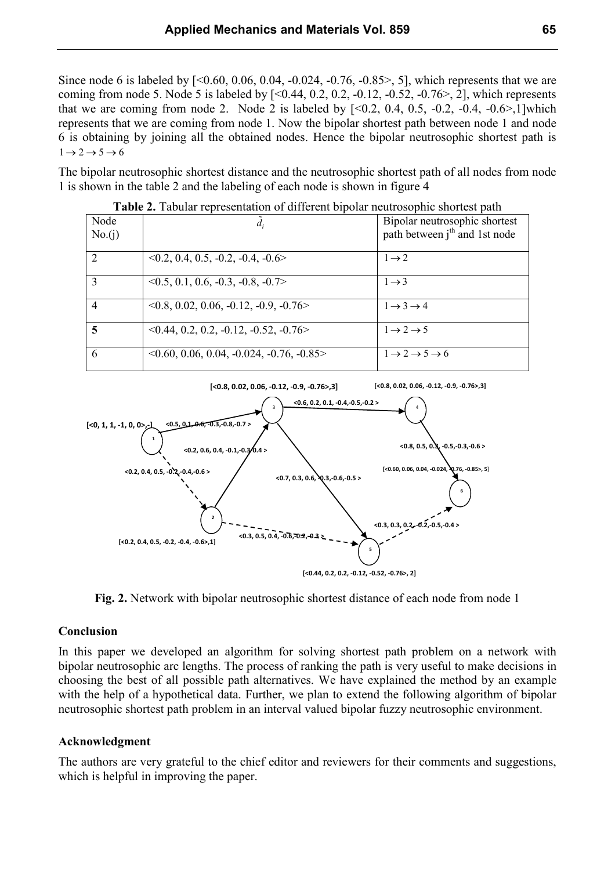Since node 6 is labeled by  $[< 0.60, 0.06, 0.04, -0.024, -0.76, -0.85 \ge 0.5]$ , which represents that we are coming from node 5. Node 5 is labeled by  $[< 0.44, 0.2, 0.2, -0.12, -0.52, -0.76 > 0.2]$ , which represents that we are coming from node 2. Node 2 is labeled by  $[<0.2, 0.4, 0.5, -0.2, -0.4, -0.6>$ , 1] which represents that we are coming from node 1. Now the bipolar shortest path between node 1 and node 6 is obtaining by joining all the obtained nodes. Hence the bipolar neutrosophic shortest path is  $1 \rightarrow 2 \rightarrow 5 \rightarrow 6$ 

The bipolar neutrosophic shortest distance and the neutrosophic shortest path of all nodes from node 1 is shown in the table 2 and the labeling of each node is shown in figure 4

| Node<br>No.(i) | $d_i$                                         | Bipolar neutrosophic shortest<br>path between j <sup>th</sup> and 1st node |
|----------------|-----------------------------------------------|----------------------------------------------------------------------------|
|                | $0.2, 0.4, 0.5, -0.2, -0.4, -0.6$             | $1 \rightarrow 2$                                                          |
|                | $\leq 0.5, 0.1, 0.6, -0.3, -0.8, -0.7$        | $1 \rightarrow 3$                                                          |
| 4              | $\leq 0.8, 0.02, 0.06, -0.12, -0.9, -0.76$    | $1 \rightarrow 3 \rightarrow 4$                                            |
| 5              | $\leq 0.44, 0.2, 0.2, -0.12, -0.52, -0.76$    | $1 \rightarrow 2 \rightarrow 5$                                            |
| 6              | $\leq 0.60, 0.06, 0.04, -0.024, -0.76, -0.85$ | $1 \rightarrow 2 \rightarrow 5 \rightarrow 6$                              |

**Table 2.** Tabular representation of different bipolar neutrosophic shortest path



**Fig. 2.** Network with bipolar neutrosophic shortest distance of each node from node 1

#### **Conclusion**

In this paper we developed an algorithm for solving shortest path problem on a network with bipolar neutrosophic arc lengths. The process of ranking the path is very useful to make decisions in choosing the best of all possible path alternatives. We have explained the method by an example with the help of a hypothetical data. Further, we plan to extend the following algorithm of bipolar neutrosophic shortest path problem in an interval valued bipolar fuzzy neutrosophic environment.

# **Acknowledgment**

The authors are very grateful to the chief editor and reviewers for their comments and suggestions, which is helpful in improving the paper.